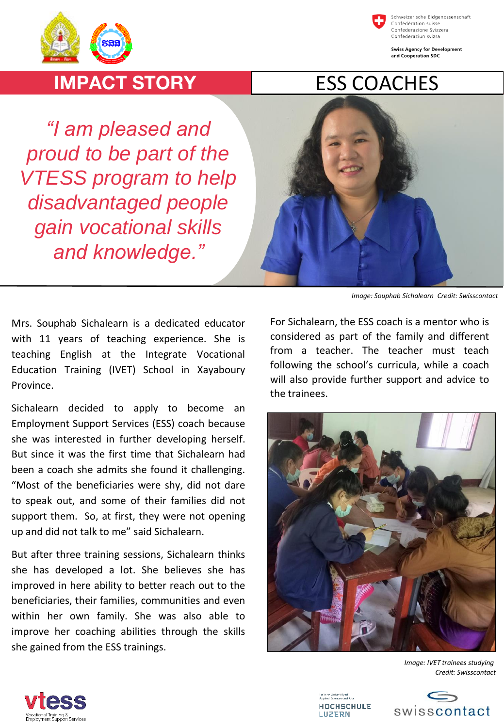



Schweizerische Eidgenossenschaft Confédération suisse Confederazione Svizzera Confederaziun svizra

**Swiss Agency for Development** and Cooperation SDC

## **IMPACT STORY**

*"I am pleased and proud to be part of the VTESS program to help disadvantaged people gain vocational skills and knowledge."*



*Image: Souphab Sichalearn Credit: Swisscontact*

Mrs. Souphab Sichalearn is a dedicated educator with 11 years of teaching experience. She is teaching English at the Integrate Vocational Education Training (IVET) School in Xayaboury Province.

Sichalearn decided to apply to become an Employment Support Services (ESS) coach because she was interested in further developing herself. But since it was the first time that Sichalearn had been a coach she admits she found it challenging. "Most of the beneficiaries were shy, did not dare to speak out, and some of their families did not support them. So, at first, they were not opening up and did not talk to me" said Sichalearn.

But after three training sessions, Sichalearn thinks she has developed a lot. She believes she has improved in here ability to better reach out to the beneficiaries, their families, communities and even within her own family. She was also able to improve her coaching abilities through the skills she gained from the ESS trainings.

For Sichalearn, the ESS coach is a mentor who is considered as part of the family and different from a teacher. The teacher must teach following the school's curricula, while a coach will also provide further support and advice to the trainees.



*Image: IVET trainees studying Credit: Swisscontact*